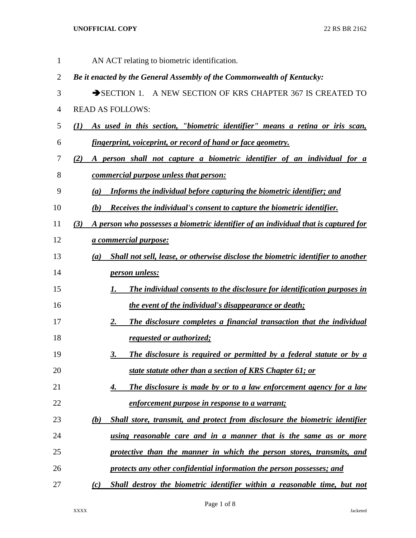| $\mathbf{1}$   | AN ACT relating to biometric identification.                                               |
|----------------|--------------------------------------------------------------------------------------------|
| $\overline{2}$ | Be it enacted by the General Assembly of the Commonwealth of Kentucky:                     |
| 3              | SECTION 1. A NEW SECTION OF KRS CHAPTER 367 IS CREATED TO                                  |
| $\overline{4}$ | <b>READ AS FOLLOWS:</b>                                                                    |
| 5              | As used in this section, "biometric identifier" means a retina or iris scan,<br>(1)        |
| 6              | fingerprint, voiceprint, or record of hand or face geometry.                               |
| 7              | A person shall not capture a biometric identifier of an individual for a<br>(2)            |
| 8              | <u>commercial purpose unless that person:</u>                                              |
| 9              | Informs the individual before capturing the biometric identifier; and<br>(a)               |
| 10             | Receives the individual's consent to capture the biometric identifier.<br>(b)              |
| 11             | A person who possesses a biometric identifier of an individual that is captured for<br>(3) |
| 12             | <i><u><b>a commercial purpose:</b></u></i>                                                 |
| 13             | Shall not sell, lease, or otherwise disclose the biometric identifier to another<br>(a)    |
| 14             | <i>person unless:</i>                                                                      |
| 15             | The individual consents to the disclosure for identification purposes in<br>1.             |
| 16             | <i>the event of the individual's disappearance or death;</i>                               |
| 17             | The disclosure completes a financial transaction that the individual<br>2.                 |
| 18             | requested or authorized;                                                                   |
| 19             | The disclosure is required or permitted by a federal statute or by a<br>3.                 |
| 20             | state statute other than a section of KRS Chapter 61; or                                   |
| 21             | The disclosure is made by or to a law enforcement agency for a law<br>4.                   |
| 22             | enforcement purpose in response to a warrant;                                              |
| 23             | (b)<br>Shall store, transmit, and protect from disclosure the biometric identifier         |
| 24             | using reasonable care and in a manner that is the same as or more                          |
| 25             | protective than the manner in which the person stores, transmits, and                      |
| 26             | protects any other confidential information the person possesses; and                      |
| 27             | Shall destroy the biometric identifier within a reasonable time, but not<br>(c)            |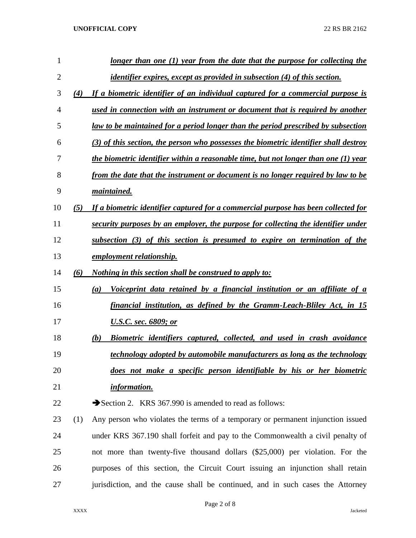| 1              |     | longer than one $(1)$ year from the date that the purpose for collecting the           |
|----------------|-----|----------------------------------------------------------------------------------------|
| $\overline{2}$ |     | <i>identifier expires, except as provided in subsection (4) of this section.</i>       |
| 3              | (4) | If a biometric identifier of an individual captured for a commercial purpose is        |
| 4              |     | used in connection with an instrument or document that is required by another          |
| 5              |     | law to be maintained for a period longer than the period prescribed by subsection      |
| 6              |     | $(3)$ of this section, the person who possesses the biometric identifier shall destroy |
| 7              |     | the biometric identifier within a reasonable time, but not longer than one (1) year    |
| 8              |     | from the date that the instrument or document is no longer required by law to be       |
| 9              |     | maintained.                                                                            |
| 10             | (5) | If a biometric identifier captured for a commercial purpose has been collected for     |
| 11             |     | security purposes by an employer, the purpose for collecting the identifier under      |
| 12             |     | subsection (3) of this section is presumed to expire on termination of the             |
| 13             |     | employment relationship.                                                               |
| 14             | (6) | <i>Nothing in this section shall be construed to apply to:</i>                         |
| 15             |     | Voiceprint data retained by a financial institution or an affiliate of a<br>(a)        |
| 16             |     | financial institution, as defined by the Gramm-Leach-Bliley Act, in 15                 |
| 17             |     | <u><b>U.S.C. sec. 6809; or</b></u>                                                     |
| 18             |     | (b)<br>Biometric identifiers captured, collected, and used in crash avoidance          |
| 19             |     | technology adopted by automobile manufacturers as long as the technology               |
| 20             |     | does not make a specific person identifiable by his or her biometric                   |
| 21             |     | <i>information.</i>                                                                    |
| 22             |     | Section 2. KRS 367.990 is amended to read as follows:                                  |
| 23             | (1) | Any person who violates the terms of a temporary or permanent injunction issued        |
| 24             |     | under KRS 367.190 shall forfeit and pay to the Commonwealth a civil penalty of         |
| 25             |     | not more than twenty-five thousand dollars (\$25,000) per violation. For the           |
| 26             |     | purposes of this section, the Circuit Court issuing an injunction shall retain         |
| 27             |     | jurisdiction, and the cause shall be continued, and in such cases the Attorney         |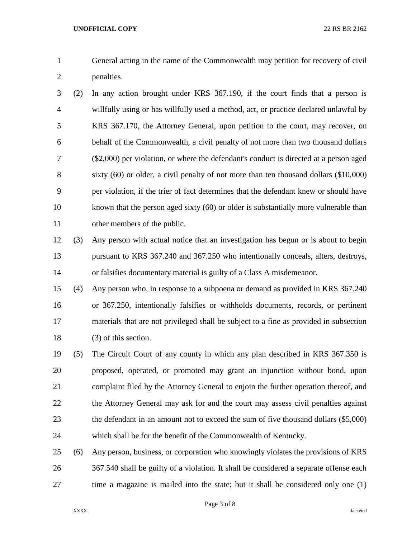General acting in the name of the Commonwealth may petition for recovery of civil penalties.

 (2) In any action brought under KRS 367.190, if the court finds that a person is willfully using or has willfully used a method, act, or practice declared unlawful by KRS 367.170, the Attorney General, upon petition to the court, may recover, on behalf of the Commonwealth, a civil penalty of not more than two thousand dollars (\$2,000) per violation, or where the defendant's conduct is directed at a person aged sixty (60) or older, a civil penalty of not more than ten thousand dollars (\$10,000) per violation, if the trier of fact determines that the defendant knew or should have 10 known that the person aged sixty (60) or older is substantially more vulnerable than other members of the public.

 (3) Any person with actual notice that an investigation has begun or is about to begin pursuant to KRS 367.240 and 367.250 who intentionally conceals, alters, destroys, or falsifies documentary material is guilty of a Class A misdemeanor.

 (4) Any person who, in response to a subpoena or demand as provided in KRS 367.240 or 367.250, intentionally falsifies or withholds documents, records, or pertinent materials that are not privileged shall be subject to a fine as provided in subsection (3) of this section.

 (5) The Circuit Court of any county in which any plan described in KRS 367.350 is proposed, operated, or promoted may grant an injunction without bond, upon complaint filed by the Attorney General to enjoin the further operation thereof, and the Attorney General may ask for and the court may assess civil penalties against the defendant in an amount not to exceed the sum of five thousand dollars (\$5,000) which shall be for the benefit of the Commonwealth of Kentucky.

 (6) Any person, business, or corporation who knowingly violates the provisions of KRS 367.540 shall be guilty of a violation. It shall be considered a separate offense each time a magazine is mailed into the state; but it shall be considered only one (1)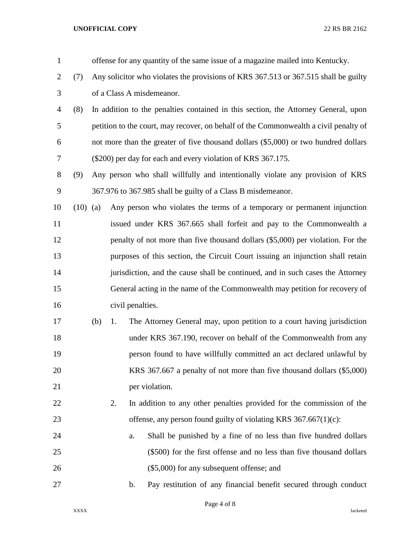| $\mathbf{1}$   |            |     |                                                                                    |                  | offense for any quantity of the same issue of a magazine mailed into Kentucky.       |  |  |
|----------------|------------|-----|------------------------------------------------------------------------------------|------------------|--------------------------------------------------------------------------------------|--|--|
| $\overline{2}$ | (7)        |     |                                                                                    |                  | Any solicitor who violates the provisions of KRS 367.513 or 367.515 shall be guilty  |  |  |
| 3              |            |     |                                                                                    |                  | of a Class A misdemeanor.                                                            |  |  |
| 4              | (8)        |     | In addition to the penalties contained in this section, the Attorney General, upon |                  |                                                                                      |  |  |
| 5              |            |     |                                                                                    |                  | petition to the court, may recover, on behalf of the Commonwealth a civil penalty of |  |  |
| 6              |            |     |                                                                                    |                  | not more than the greater of five thousand dollars (\$5,000) or two hundred dollars  |  |  |
| 7              |            |     |                                                                                    |                  | (\$200) per day for each and every violation of KRS 367.175.                         |  |  |
| 8              | (9)        |     |                                                                                    |                  | Any person who shall willfully and intentionally violate any provision of KRS        |  |  |
| 9              |            |     |                                                                                    |                  | 367.976 to 367.985 shall be guilty of a Class B misdemeanor.                         |  |  |
| 10             | $(10)$ (a) |     |                                                                                    |                  | Any person who violates the terms of a temporary or permanent injunction             |  |  |
| 11             |            |     |                                                                                    |                  | issued under KRS 367.665 shall forfeit and pay to the Commonwealth a                 |  |  |
| 12             |            |     |                                                                                    |                  | penalty of not more than five thousand dollars (\$5,000) per violation. For the      |  |  |
| 13             |            |     |                                                                                    |                  | purposes of this section, the Circuit Court issuing an injunction shall retain       |  |  |
| 14             |            |     |                                                                                    |                  | jurisdiction, and the cause shall be continued, and in such cases the Attorney       |  |  |
| 15             |            |     |                                                                                    |                  | General acting in the name of the Commonwealth may petition for recovery of          |  |  |
| 16             |            |     |                                                                                    | civil penalties. |                                                                                      |  |  |
| 17             |            | (b) | 1.                                                                                 |                  | The Attorney General may, upon petition to a court having jurisdiction               |  |  |
| 18             |            |     |                                                                                    |                  | under KRS 367.190, recover on behalf of the Commonwealth from any                    |  |  |
| 19             |            |     |                                                                                    |                  | person found to have willfully committed an act declared unlawful by                 |  |  |
| 20             |            |     |                                                                                    |                  | KRS 367.667 a penalty of not more than five thousand dollars (\$5,000)               |  |  |
| 21             |            |     |                                                                                    | per violation.   |                                                                                      |  |  |
| 22             |            |     | 2.                                                                                 |                  | In addition to any other penalties provided for the commission of the                |  |  |
| 23             |            |     |                                                                                    |                  | offense, any person found guilty of violating KRS $367.667(1)(c)$ :                  |  |  |
| 24             |            |     |                                                                                    | a.               | Shall be punished by a fine of no less than five hundred dollars                     |  |  |
| 25             |            |     |                                                                                    |                  | (\$500) for the first offense and no less than five thousand dollars                 |  |  |
| 26             |            |     |                                                                                    |                  | (\$5,000) for any subsequent offense; and                                            |  |  |
| 27             |            |     |                                                                                    | $\mathbf b$ .    | Pay restitution of any financial benefit secured through conduct                     |  |  |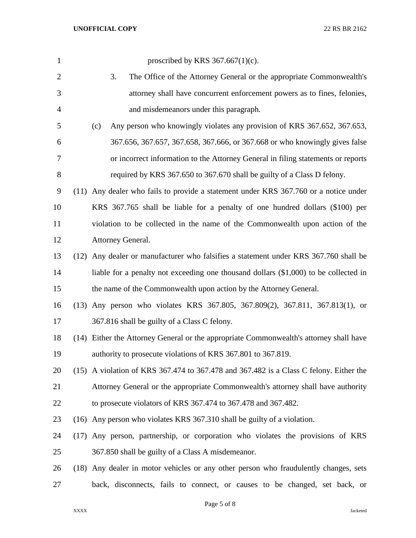| $\mathbf{1}$   | proscribed by KRS $367.667(1)(c)$ .                                                    |
|----------------|----------------------------------------------------------------------------------------|
| $\overline{2}$ | 3.<br>The Office of the Attorney General or the appropriate Commonwealth's             |
| 3              | attorney shall have concurrent enforcement powers as to fines, felonies,               |
| 4              | and misdemeanors under this paragraph.                                                 |
| 5              | (c)<br>Any person who knowingly violates any provision of KRS 367.652, 367.653,        |
| 6              | 367.656, 367.657, 367.658, 367.666, or 367.668 or who knowingly gives false            |
| 7              | or incorrect information to the Attorney General in filing statements or reports       |
| $8\,$          | required by KRS 367.650 to 367.670 shall be guilty of a Class D felony.                |
| 9              | (11) Any dealer who fails to provide a statement under KRS 367.760 or a notice under   |
| 10             | KRS 367.765 shall be liable for a penalty of one hundred dollars (\$100) per           |
| 11             | violation to be collected in the name of the Commonwealth upon action of the           |
| 12             | Attorney General.                                                                      |
| 13             | (12) Any dealer or manufacturer who falsifies a statement under KRS 367.760 shall be   |
| 14             | liable for a penalty not exceeding one thousand dollars $(\$1,000)$ to be collected in |
| 15             | the name of the Commonwealth upon action by the Attorney General.                      |
| 16             | (13) Any person who violates KRS 367.805, 367.809(2), 367.811, 367.813(1), or          |
| 17             | 367.816 shall be guilty of a Class C felony.                                           |
| 18             | (14) Either the Attorney General or the appropriate Commonwealth's attorney shall have |
| 19             | authority to prosecute violations of KRS 367.801 to 367.819.                           |
| 20             | (15) A violation of KRS 367.474 to 367.478 and 367.482 is a Class C felony. Either the |
| 21             | Attorney General or the appropriate Commonwealth's attorney shall have authority       |
| 22             | to prosecute violators of KRS 367.474 to 367.478 and 367.482.                          |
| 23             | (16) Any person who violates KRS 367.310 shall be guilty of a violation.               |
| 24             | (17) Any person, partnership, or corporation who violates the provisions of KRS        |
| 25             | 367.850 shall be guilty of a Class A misdemeanor.                                      |
| 26             | (18) Any dealer in motor vehicles or any other person who fraudulently changes, sets   |
| 27             | back, disconnects, fails to connect, or causes to be changed, set back, or             |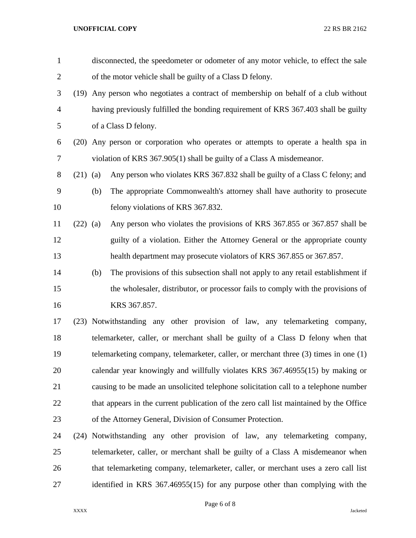| $\mathbf{1}$   |            | disconnected, the speedometer or odometer of any motor vehicle, to effect the sale |                                                                                         |  |  |  |  |  |
|----------------|------------|------------------------------------------------------------------------------------|-----------------------------------------------------------------------------------------|--|--|--|--|--|
| $\overline{2}$ |            | of the motor vehicle shall be guilty of a Class D felony.                          |                                                                                         |  |  |  |  |  |
| 3              |            |                                                                                    | (19) Any person who negotiates a contract of membership on behalf of a club without     |  |  |  |  |  |
| $\overline{4}$ |            |                                                                                    | having previously fulfilled the bonding requirement of KRS 367.403 shall be guilty      |  |  |  |  |  |
| 5              |            | of a Class D felony.                                                               |                                                                                         |  |  |  |  |  |
| 6              |            |                                                                                    | (20) Any person or corporation who operates or attempts to operate a health spa in      |  |  |  |  |  |
| 7              |            |                                                                                    | violation of KRS 367.905(1) shall be guilty of a Class A misdemeanor.                   |  |  |  |  |  |
| 8              | $(21)$ (a) |                                                                                    | Any person who violates KRS 367.832 shall be guilty of a Class C felony; and            |  |  |  |  |  |
| 9              |            | (b)                                                                                | The appropriate Commonwealth's attorney shall have authority to prosecute               |  |  |  |  |  |
| 10             |            |                                                                                    | felony violations of KRS 367.832.                                                       |  |  |  |  |  |
| 11             | $(22)$ (a) |                                                                                    | Any person who violates the provisions of KRS 367.855 or 367.857 shall be               |  |  |  |  |  |
| 12             |            |                                                                                    | guilty of a violation. Either the Attorney General or the appropriate county            |  |  |  |  |  |
| 13             |            |                                                                                    | health department may prosecute violators of KRS 367.855 or 367.857.                    |  |  |  |  |  |
| 14             |            | (b)                                                                                | The provisions of this subsection shall not apply to any retail establishment if        |  |  |  |  |  |
| 15             |            |                                                                                    | the wholesaler, distributor, or processor fails to comply with the provisions of        |  |  |  |  |  |
| 16             |            |                                                                                    | KRS 367.857.                                                                            |  |  |  |  |  |
| 17             |            |                                                                                    | (23) Notwithstanding any other provision of law, any telemarketing company,             |  |  |  |  |  |
| 18             |            |                                                                                    | telemarketer, caller, or merchant shall be guilty of a Class D felony when that         |  |  |  |  |  |
| 19             |            |                                                                                    | telemarketing company, telemarketer, caller, or merchant three $(3)$ times in one $(1)$ |  |  |  |  |  |
| 20             |            |                                                                                    | calendar year knowingly and willfully violates KRS 367.46955(15) by making or           |  |  |  |  |  |
| 21             |            |                                                                                    | causing to be made an unsolicited telephone solicitation call to a telephone number     |  |  |  |  |  |
| 22             |            |                                                                                    | that appears in the current publication of the zero call list maintained by the Office  |  |  |  |  |  |
| 23             |            |                                                                                    | of the Attorney General, Division of Consumer Protection.                               |  |  |  |  |  |
| 24             | (24)       |                                                                                    | Notwithstanding any other provision of law, any telemarketing company,                  |  |  |  |  |  |
| 25             |            |                                                                                    | telemarketer, caller, or merchant shall be guilty of a Class A misdemeanor when         |  |  |  |  |  |
| 26             |            |                                                                                    | that telemarketing company, telemarketer, caller, or merchant uses a zero call list     |  |  |  |  |  |

identified in KRS 367.46955(15) for any purpose other than complying with the

XXXX Jacketed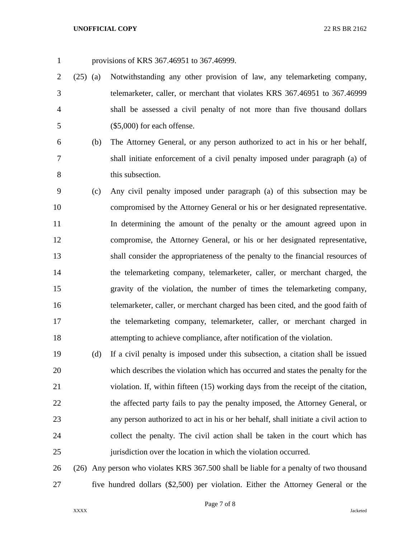provisions of KRS 367.46951 to 367.46999.

- (25) (a) Notwithstanding any other provision of law, any telemarketing company, telemarketer, caller, or merchant that violates KRS 367.46951 to 367.46999 shall be assessed a civil penalty of not more than five thousand dollars (\$5,000) for each offense.
- (b) The Attorney General, or any person authorized to act in his or her behalf,
- shall initiate enforcement of a civil penalty imposed under paragraph (a) of 8 this subsection.
- (c) Any civil penalty imposed under paragraph (a) of this subsection may be compromised by the Attorney General or his or her designated representative. In determining the amount of the penalty or the amount agreed upon in compromise, the Attorney General, or his or her designated representative, shall consider the appropriateness of the penalty to the financial resources of the telemarketing company, telemarketer, caller, or merchant charged, the gravity of the violation, the number of times the telemarketing company, telemarketer, caller, or merchant charged has been cited, and the good faith of the telemarketing company, telemarketer, caller, or merchant charged in attempting to achieve compliance, after notification of the violation.
- (d) If a civil penalty is imposed under this subsection, a citation shall be issued which describes the violation which has occurred and states the penalty for the violation. If, within fifteen (15) working days from the receipt of the citation, the affected party fails to pay the penalty imposed, the Attorney General, or any person authorized to act in his or her behalf, shall initiate a civil action to collect the penalty. The civil action shall be taken in the court which has jurisdiction over the location in which the violation occurred.
- (26) Any person who violates KRS 367.500 shall be liable for a penalty of two thousand five hundred dollars (\$2,500) per violation. Either the Attorney General or the